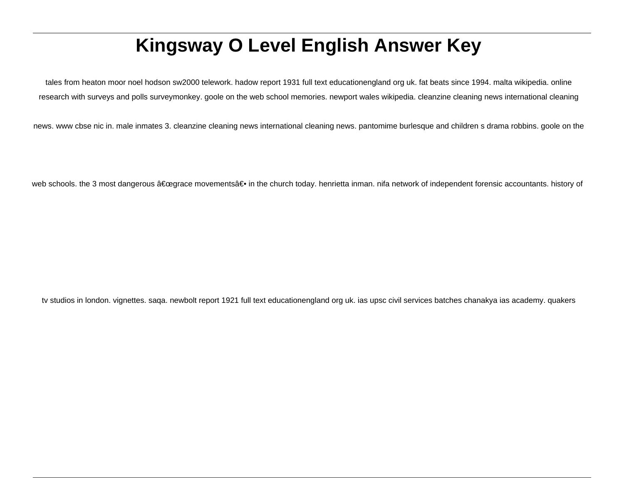# **Kingsway O Level English Answer Key**

tales from heaton moor noel hodson sw2000 telework. hadow report 1931 full text educationengland org uk. fat beats since 1994. malta wikipedia. online research with surveys and polls surveymonkey. goole on the web school memories. newport wales wikipedia. cleanzine cleaning news international cleaning

news. www cbse nic in. male inmates 3. cleanzine cleaning news international cleaning news. pantomime burlesque and children s drama robbins. goole on the

web schools. the 3 most dangerous "grace movements― in the church today. henrietta inman. nifa network of independent forensic accountants. history of

tv studios in london. vignettes. saqa. newbolt report 1921 full text educationengland org uk. ias upsc civil services batches chanakya ias academy. quakers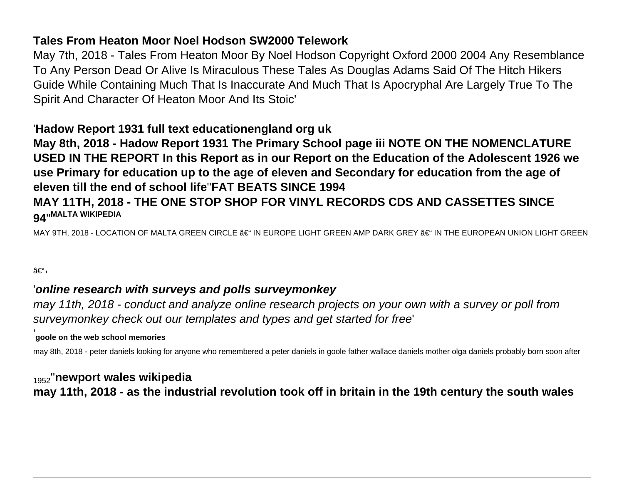#### **Tales From Heaton Moor Noel Hodson SW2000 Telework**

May 7th, 2018 - Tales From Heaton Moor By Noel Hodson Copyright Oxford 2000 2004 Any Resemblance To Any Person Dead Or Alive Is Miraculous These Tales As Douglas Adams Said Of The Hitch Hikers Guide While Containing Much That Is Inaccurate And Much That Is Apocryphal Are Largely True To The Spirit And Character Of Heaton Moor And Its Stoic'

## '**Hadow Report 1931 full text educationengland org uk**

**May 8th, 2018 - Hadow Report 1931 The Primary School page iii NOTE ON THE NOMENCLATURE USED IN THE REPORT In this Report as in our Report on the Education of the Adolescent 1926 we use Primary for education up to the age of eleven and Secondary for education from the age of eleven till the end of school life**''**FAT BEATS SINCE 1994**

#### **MAY 11TH, 2018 - THE ONE STOP SHOP FOR VINYL RECORDS CDS AND CASSETTES SINCE 94**''**MALTA WIKIPEDIA**

MAY 9TH, 2018 - LOCATION OF MALTA GREEN CIRCLE – IN EUROPE LIGHT GREEN AMP DARK GREY – IN THE EUROPEAN UNION LIGHT GREEN

–ı

## '**online research with surveys and polls surveymonkey**

may 11th, 2018 - conduct and analyze online research projects on your own with a survey or poll from surveymonkey check out our templates and types and get started for free'

#### '**goole on the web school memories**

may 8th, 2018 - peter daniels looking for anyone who remembered a peter daniels in goole father wallace daniels mother olga daniels probably born soon after

<sup>1952</sup>''**newport wales wikipedia may 11th, 2018 - as the industrial revolution took off in britain in the 19th century the south wales**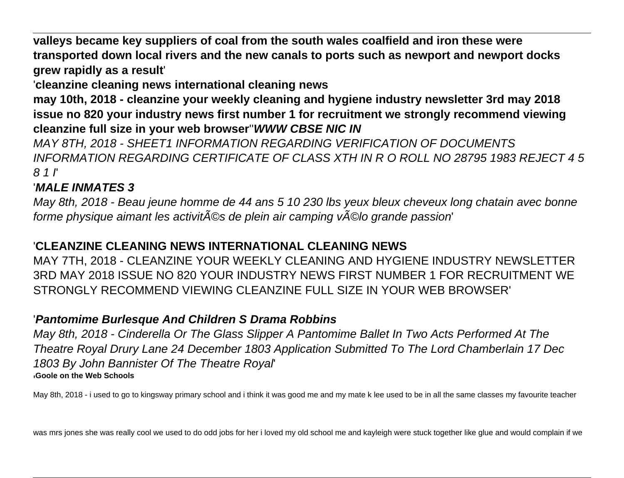**valleys became key suppliers of coal from the south wales coalfield and iron these were transported down local rivers and the new canals to ports such as newport and newport docks grew rapidly as a result**'

'**cleanzine cleaning news international cleaning news**

**may 10th, 2018 - cleanzine your weekly cleaning and hygiene industry newsletter 3rd may 2018 issue no 820 your industry news first number 1 for recruitment we strongly recommend viewing cleanzine full size in your web browser**''**WWW CBSE NIC IN**

MAY 8TH, 2018 - SHEET1 INFORMATION REGARDING VERIFICATION OF DOCUMENTS INFORMATION REGARDING CERTIFICATE OF CLASS XTH IN R O ROLL NO 28795 1983 REJECT 4 5 8 1 I'

## '**MALE INMATES 3**

May 8th, 2018 - Beau jeune homme de 44 ans 5 10 230 lbs yeux bleux cheveux long chatain avec bonne forme physique aimant les activit©s de plein air camping v©lo grande passion'

## '**CLEANZINE CLEANING NEWS INTERNATIONAL CLEANING NEWS**

MAY 7TH, 2018 - CLEANZINE YOUR WEEKLY CLEANING AND HYGIENE INDUSTRY NEWSLETTER 3RD MAY 2018 ISSUE NO 820 YOUR INDUSTRY NEWS FIRST NUMBER 1 FOR RECRUITMENT WE STRONGLY RECOMMEND VIEWING CLEANZINE FULL SIZE IN YOUR WEB BROWSER'

## '**Pantomime Burlesque And Children S Drama Robbins**

May 8th, 2018 - Cinderella Or The Glass Slipper A Pantomime Ballet In Two Acts Performed At The Theatre Royal Drury Lane 24 December 1803 Application Submitted To The Lord Chamberlain 17 Dec 1803 By John Bannister Of The Theatre Royal' '**Goole on the Web Schools**

May 8th, 2018 - i used to go to kingsway primary school and i think it was good me and my mate k lee used to be in all the same classes my favourite teacher

was mrs jones she was really cool we used to do odd jobs for her i loved my old school me and kayleigh were stuck together like glue and would complain if we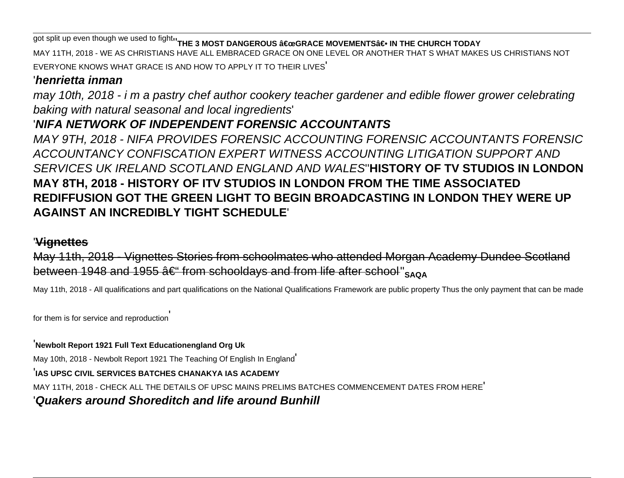The split up even though we used to fight<sup>1</sup> THE 3 MOST DANGEROUS a €œGRACE MOVEMENTSa <del>€</del> IN THE CHURCH TODAY MAY 11TH, 2018 - WE AS CHRISTIANS HAVE ALL EMBRACED GRACE ON ONE LEVEL OR ANOTHER THAT S WHAT MAKES US CHRISTIANS NOT EVERYONE KNOWS WHAT GRACE IS AND HOW TO APPLY IT TO THEIR LIVES'

#### '**henrietta inman**

may 10th, 2018 - i m a pastry chef author cookery teacher gardener and edible flower grower celebrating baking with natural seasonal and local ingredients'

## '**NIFA NETWORK OF INDEPENDENT FORENSIC ACCOUNTANTS**

MAY 9TH, 2018 - NIFA PROVIDES FORENSIC ACCOUNTING FORENSIC ACCOUNTANTS FORENSIC ACCOUNTANCY CONFISCATION EXPERT WITNESS ACCOUNTING LITIGATION SUPPORT AND SERVICES UK IRELAND SCOTLAND ENGLAND AND WALES''**HISTORY OF TV STUDIOS IN LONDON MAY 8TH, 2018 - HISTORY OF ITV STUDIOS IN LONDON FROM THE TIME ASSOCIATED REDIFFUSION GOT THE GREEN LIGHT TO BEGIN BROADCASTING IN LONDON THEY WERE UP AGAINST AN INCREDIBLY TIGHT SCHEDULE**'

#### '**Vignettes**

May 11th, 2018 - Vignettes Stories from schoolmates who attended Morgan Academy Dundee Scotland between 1948 and 1955  $\hat{a} \in \text{from schooldays}$  and from life after school"  $\text{SAOA}$ 

May 11th, 2018 - All qualifications and part qualifications on the National Qualifications Framework are public property Thus the only payment that can be made

for them is for service and reproduction'

'**Newbolt Report 1921 Full Text Educationengland Org Uk**

May 10th, 2018 - Newbolt Report 1921 The Teaching Of English In England'

#### '**IAS UPSC CIVIL SERVICES BATCHES CHANAKYA IAS ACADEMY**

MAY 11TH, 2018 - CHECK ALL THE DETAILS OF UPSC MAINS PRELIMS BATCHES COMMENCEMENT DATES FROM HERE'

#### '**Quakers around Shoreditch and life around Bunhill**